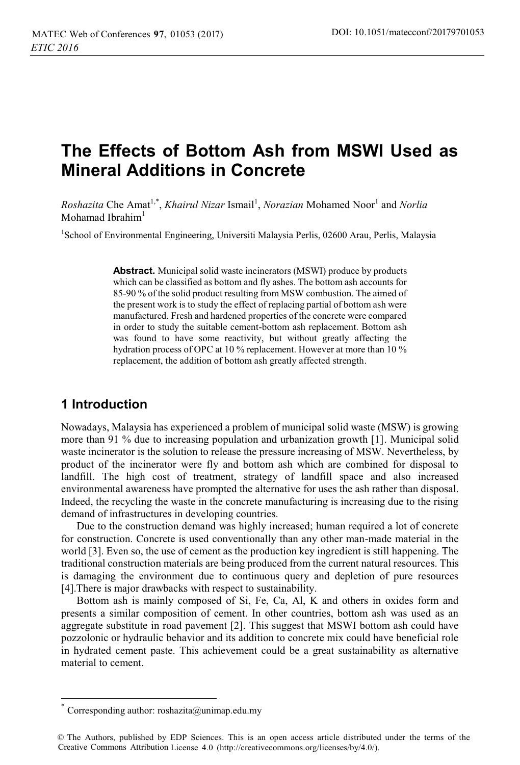# **The Effects of Bottom Ash from MSWI Used as Mineral Additions in Concrete**

*Roshazita* Che Amat<sup>1,\*</sup>, *Khairul Nizar* Ismail<sup>1</sup>, *Norazian* Mohamed Noor<sup>1</sup> and *Norlia* Mohamad Ibrahim $<sup>1</sup>$ </sup>

<sup>1</sup>School of Environmental Engineering, Universiti Malaysia Perlis, 02600 Arau, Perlis, Malaysia

**Abstract.** Municipal solid waste incinerators (MSWI) produce by products which can be classified as bottom and fly ashes. The bottom ash accounts for 85-90 % of the solid product resulting from MSW combustion. The aimed of the present work is to study the effect of replacing partial of bottom ash were manufactured. Fresh and hardened properties of the concrete were compared in order to study the suitable cement-bottom ash replacement. Bottom ash was found to have some reactivity, but without greatly affecting the hydration process of OPC at 10 % replacement. However at more than 10 % replacement, the addition of bottom ash greatly affected strength.

## **1 Introduction**

 $\overline{a}$ 

Nowadays, Malaysia has experienced a problem of municipal solid waste (MSW) is growing more than 91 % due to increasing population and urbanization growth [1]. Municipal solid waste incinerator is the solution to release the pressure increasing of MSW. Nevertheless, by product of the incinerator were fly and bottom ash which are combined for disposal to landfill. The high cost of treatment, strategy of landfill space and also increased environmental awareness have prompted the alternative for uses the ash rather than disposal. Indeed, the recycling the waste in the concrete manufacturing is increasing due to the rising demand of infrastructures in developing countries.

Due to the construction demand was highly increased; human required a lot of concrete for construction. Concrete is used conventionally than any other man-made material in the world [3]. Even so, the use of cement as the production key ingredient is still happening. The traditional construction materials are being produced from the current natural resources. This is damaging the environment due to continuous query and depletion of pure resources [4].There is major drawbacks with respect to sustainability.

Bottom ash is mainly composed of Si, Fe, Ca, Al, K and others in oxides form and presents a similar composition of cement. In other countries, bottom ash was used as an aggregate substitute in road pavement [2]. This suggest that MSWI bottom ash could have pozzolonic or hydraulic behavior and its addition to concrete mix could have beneficial role in hydrated cement paste. This achievement could be a great sustainability as alternative material to cement.

Corresponding author:  $roshazita@unimap.edu.my$ 

<sup>©</sup> The Authors, published by EDP Sciences. This is an open access article distributed under the terms of the Creative Commons Attribution License 4.0 (http://creativecommons.org/licenses/by/4.0/).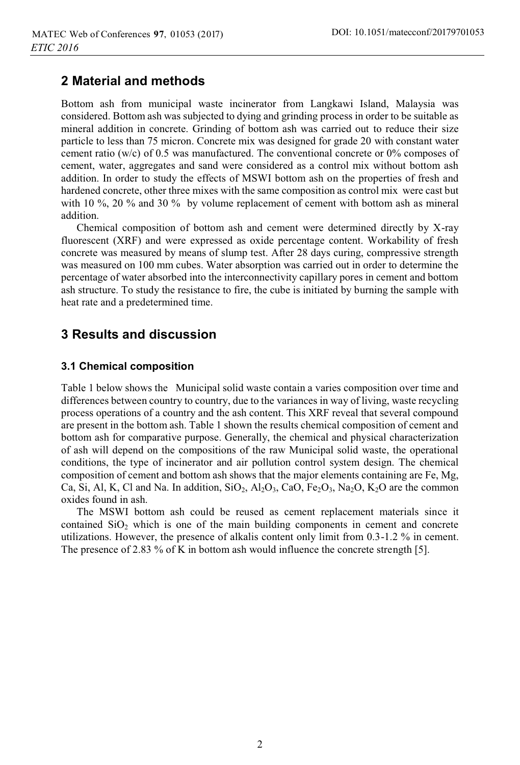# **2 Material and methods**

Bottom ash from municipal waste incinerator from Langkawi Island, Malaysia was considered. Bottom ash was subjected to dying and grinding process in order to be suitable as mineral addition in concrete. Grinding of bottom ash was carried out to reduce their size particle to less than 75 micron. Concrete mix was designed for grade 20 with constant water cement ratio (w/c) of 0.5 was manufactured. The conventional concrete or 0% composes of cement, water, aggregates and sand were considered as a control mix without bottom ash addition. In order to study the effects of MSWI bottom ash on the properties of fresh and hardened concrete, other three mixes with the same composition as control mix were cast but with 10 %, 20 % and 30 % by volume replacement of cement with bottom ash as mineral addition.

Chemical composition of bottom ash and cement were determined directly by X-ray fluorescent (XRF) and were expressed as oxide percentage content. Workability of fresh concrete was measured by means of slump test. After 28 days curing, compressive strength was measured on 100 mm cubes. Water absorption was carried out in order to determine the percentage of water absorbed into the interconnectivity capillary pores in cement and bottom ash structure. To study the resistance to fire, the cube is initiated by burning the sample with heat rate and a predetermined time.

# **3 Results and discussion**

### **3.1 Chemical composition**

Table 1 below shows the Municipal solid waste contain a varies composition over time and differences between country to country, due to the variances in way of living, waste recycling process operations of a country and the ash content. This XRF reveal that several compound are present in the bottom ash. Table 1 shown the results chemical composition of cement and bottom ash for comparative purpose. Generally, the chemical and physical characterization of ash will depend on the compositions of the raw Municipal solid waste, the operational conditions, the type of incinerator and air pollution control system design. The chemical composition of cement and bottom ash shows that the major elements containing are Fe, Mg, Ca, Si, Al, K, Cl and Na. In addition,  $SiO_2$ ,  $Al_2O_3$ , CaO, Fe<sub>2</sub>O<sub>3</sub>, Na<sub>2</sub>O, K<sub>2</sub>O are the common oxides found in ash.

The MSWI bottom ash could be reused as cement replacement materials since it contained  $SiO<sub>2</sub>$  which is one of the main building components in cement and concrete utilizations. However, the presence of alkalis content only limit from 0.3-1.2 % in cement. The presence of 2.83 % of K in bottom ash would influence the concrete strength [5].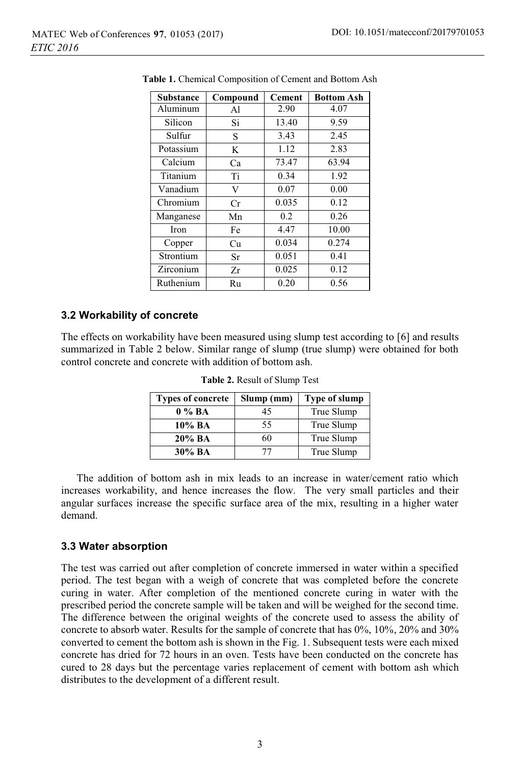| Substance | Compound | <b>Cement</b> | <b>Bottom Ash</b> |
|-----------|----------|---------------|-------------------|
| Aluminum  | Al       | 2.90          | 4.07              |
| Silicon   | Si       | 13.40         | 9.59              |
| Sulfur    | S        | 3.43          | 2.45              |
| Potassium | K        | 1.12          | 2.83              |
| Calcium   | Ca       | 73.47         | 63.94             |
| Titanium  | Ti       | 0.34          | 1.92              |
| Vanadium  | V        | 0.07          | 0.00              |
| Chromium  | Cr       | 0.035         | 0.12              |
| Manganese | Mn       | 0.2           | 0.26              |
| Iron      | Fe       | 4.47          | 10.00             |
| Copper    | Сu       | 0.034         | 0.274             |
| Strontium | Sr       | 0.051         | 0.41              |
| Zirconium | Zr       | 0.025         | 0.12              |
| Ruthenium | Ru       | 0.20          | 0.56              |

**Table 1.** Chemical Composition of Cement and Bottom Ash

#### **3.2 Workability of concrete**

The effects on workability have been measured using slump test according to [6] and results summarized in Table 2 below. Similar range of slump (true slump) were obtained for both control concrete and concrete with addition of bottom ash.

| <b>Types of concrete</b> | Slump (mm) | Type of slump |
|--------------------------|------------|---------------|
| $0\%BA$                  | 45         | True Slump    |
| $10\%$ BA                | 55         | True Slump    |
| 20% BA                   | 60         | True Slump    |
| 30% BA                   | 77         | True Slump    |

**Table 2.** Result of Slump Test

The addition of bottom ash in mix leads to an increase in water/cement ratio which increases workability, and hence increases the flow. The very small particles and their angular surfaces increase the specific surface area of the mix, resulting in a higher water demand.

#### **3.3 Water absorption**

The test was carried out after completion of concrete immersed in water within a specified period. The test began with a weigh of concrete that was completed before the concrete curing in water. After completion of the mentioned concrete curing in water with the prescribed period the concrete sample will be taken and will be weighed for the second time. The difference between the original weights of the concrete used to assess the ability of concrete to absorb water. Results for the sample of concrete that has 0%, 10%, 20% and 30% converted to cement the bottom ash is shown in the Fig. 1. Subsequent tests were each mixed concrete has dried for 72 hours in an oven. Tests have been conducted on the concrete has cured to 28 days but the percentage varies replacement of cement with bottom ash which distributes to the development of a different result.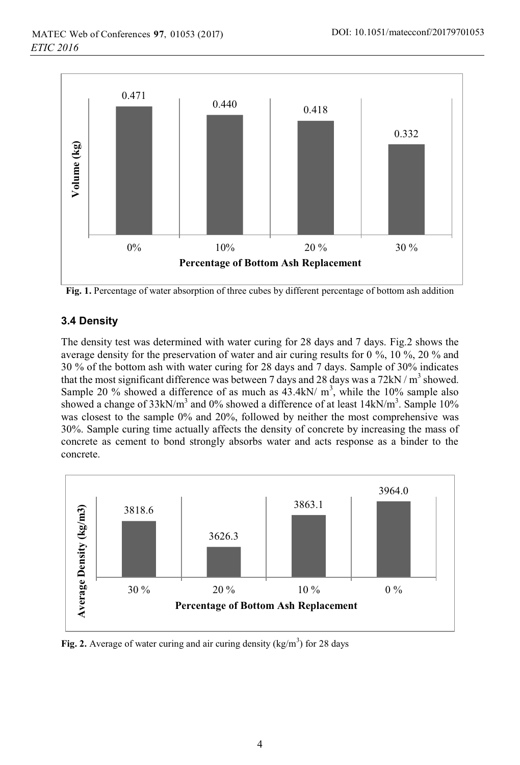

**Fig. 1.** Percentage of water absorption of three cubes by different percentage of bottom ash addition

### **3.4 Density**

The density test was determined with water curing for 28 days and 7 days. Fig.2 shows the average density for the preservation of water and air curing results for 0 %, 10 %, 20 % and 30 % of the bottom ash with water curing for 28 days and 7 days. Sample of 30% indicates that the most significant difference was between 7 days and 28 days was a  $72 \text{kN/m}^3$  showed. Sample 20 % showed a difference of as much as  $43.4 \text{kN/m}^3$ , while the 10% sample also showed a change of 33kN/m<sup>3</sup> and 0% showed a difference of at least  $14 \text{kN/m}^3$ . Sample 10% was closest to the sample 0% and 20%, followed by neither the most comprehensive was 30%. Sample curing time actually affects the density of concrete by increasing the mass of concrete as cement to bond strongly absorbs water and acts response as a binder to the concrete.



Fig. 2. Average of water curing and air curing density  $(kg/m<sup>3</sup>)$  for 28 days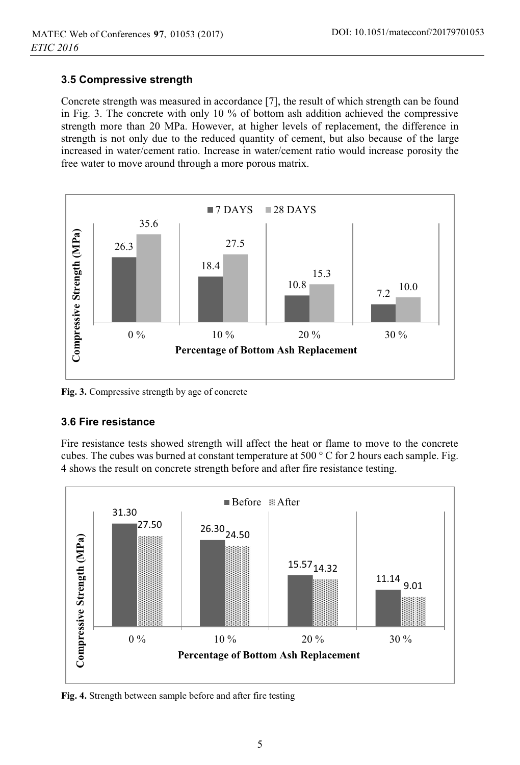### **3.5 Compressive strength**

Concrete strength was measured in accordance [7], the result of which strength can be found in Fig. 3. The concrete with only 10 % of bottom ash addition achieved the compressive strength more than 20 MPa. However, at higher levels of replacement, the difference in strength is not only due to the reduced quantity of cement, but also because of the large increased in water/cement ratio. Increase in water/cement ratio would increase porosity the free water to move around through a more porous matrix.



**Fig. 3.** Compressive strength by age of concrete

### **3.6 Fire resistance**

Fire resistance tests showed strength will affect the heat or flame to move to the concrete cubes. The cubes was burned at constant temperature at 500 ° C for 2 hours each sample. Fig. 4 shows the result on concrete strength before and after fire resistance testing.



**Fig. 4.** Strength between sample before and after fire testing